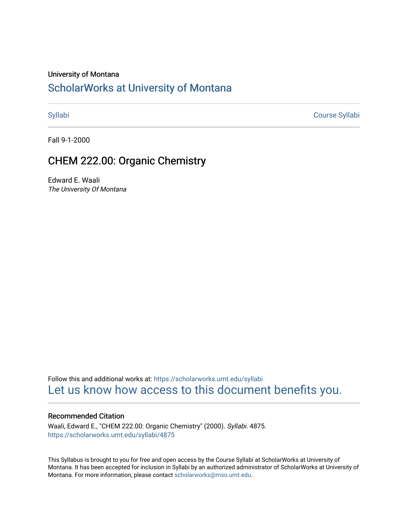#### University of Montana

## [ScholarWorks at University of Montana](https://scholarworks.umt.edu/)

[Syllabi](https://scholarworks.umt.edu/syllabi) [Course Syllabi](https://scholarworks.umt.edu/course_syllabi) 

Fall 9-1-2000

## CHEM 222.00: Organic Chemistry

Edward E. Waali The University Of Montana

Follow this and additional works at: [https://scholarworks.umt.edu/syllabi](https://scholarworks.umt.edu/syllabi?utm_source=scholarworks.umt.edu%2Fsyllabi%2F4875&utm_medium=PDF&utm_campaign=PDFCoverPages)  [Let us know how access to this document benefits you.](https://goo.gl/forms/s2rGfXOLzz71qgsB2) 

#### Recommended Citation

Waali, Edward E., "CHEM 222.00: Organic Chemistry" (2000). Syllabi. 4875. [https://scholarworks.umt.edu/syllabi/4875](https://scholarworks.umt.edu/syllabi/4875?utm_source=scholarworks.umt.edu%2Fsyllabi%2F4875&utm_medium=PDF&utm_campaign=PDFCoverPages)

This Syllabus is brought to you for free and open access by the Course Syllabi at ScholarWorks at University of Montana. It has been accepted for inclusion in Syllabi by an authorized administrator of ScholarWorks at University of Montana. For more information, please contact [scholarworks@mso.umt.edu.](mailto:scholarworks@mso.umt.edu)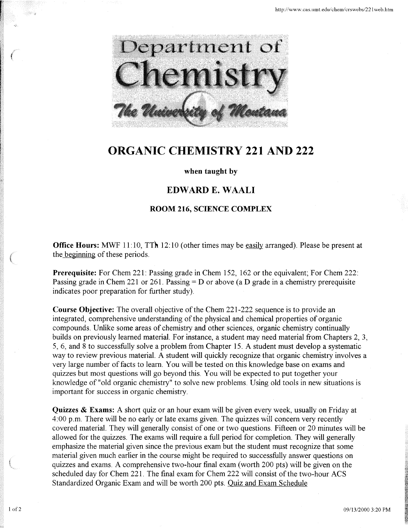

# **ORGANIC CHEMISTRY 221 AND 222**

#### **when taught by**

### **EDW ARD E. W AALI**

#### **ROOM 216, SCIENCE COMPLEX**

**Office Hours:** MWF 11:10, TTh 12:10 (other times may be easily arranged). Please be present at the beginning of these periods.

**Prerequisite:** For Chem 221: Passing grade in Chem 152, 162 or the equivalent; For Chem 222: Passing grade in Chem 221 or 261. Passing  $= D$  or above (a D grade in a chemistry prerequisite indicates poor preparation for further study).

**Course Objective:** The overall objective of the Chem 221-222 sequence is to provide an integrated, comprehensive understanding of the physical and chemical properties of organic compounds. Unlike some areas of chemistry and other sciences, organic chemistry continually builds on previously learned material. For instance, a student may need material from Chapters 2, 3, 5, 6, and 8 to successfully solve a problem from Chapter 15. A student must develop a systematic way to review previous material. A student will quickly recognize that organic chemistry involves a very large number of facts to learn. You will be tested on this knowledge base on exams and quizzes but most questions will go beyond this. You will be expected to put together your knowledge of "old organic chemistry" to solve new problems. Using old tools in new situations is important for success in organic chemistry.

**Quizzes & Exams:** A short quiz or an hour exam will be given every week, usually on Friday at 4:00 p.m. There will be no early or late exams given. The quizzes will concern very recently covered material. They will generally consist of one or two questions. Fifteen or 20 minutes will be allowed for the quizzes. The exams will require a full period for completion. They will generally emphasize the material given since the previous exam but the student must recognize that some material given much earlier in the course might be required to successfully answer questions on quizzes and exams. A comprehensive two-hour final exam (worth 200 pts) will be given on the scheduled day for Chem 221. The final exam for Chem 222 will consist of the two-hour ACS Standardized Organic Exam and will be worth 200 pts. Quiz and Exam Schedule